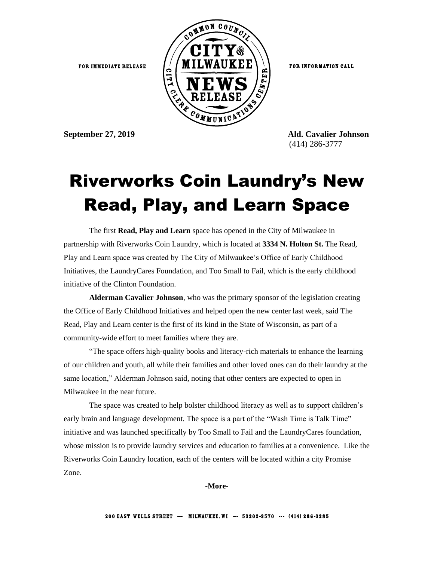

FOR INFORMATION CALL

**September 27, 2019 Ald. Cavalier Johnson** (414) 286-3777

## Riverworks Coin Laundry's New Read, Play, and Learn Space

The first **Read, Play and Learn** space has opened in the City of Milwaukee in partnership with Riverworks Coin Laundry, which is located at **3334 N. Holton St.** The Read, Play and Learn space was created by The City of Milwaukee's Office of Early Childhood Initiatives, the LaundryCares Foundation, and Too Small to Fail, which is the early childhood initiative of the Clinton Foundation.

**Alderman Cavalier Johnson**, who was the primary sponsor of the legislation creating the Office of Early Childhood Initiatives and helped open the new center last week, said The Read, Play and Learn center is the first of its kind in the State of Wisconsin, as part of a community-wide effort to meet families where they are.

"The space offers high-quality books and literacy-rich materials to enhance the learning of our children and youth, all while their families and other loved ones can do their laundry at the same location," Alderman Johnson said, noting that other centers are expected to open in Milwaukee in the near future.

The space was created to help bolster childhood literacy as well as to support children's early brain and language development. The space is a part of the "Wash Time is Talk Time" initiative and was launched specifically by Too Small to Fail and the LaundryCares foundation, whose mission is to provide laundry services and education to families at a convenience. Like the Riverworks Coin Laundry location, each of the centers will be located within a city Promise Zone.

**-More-**